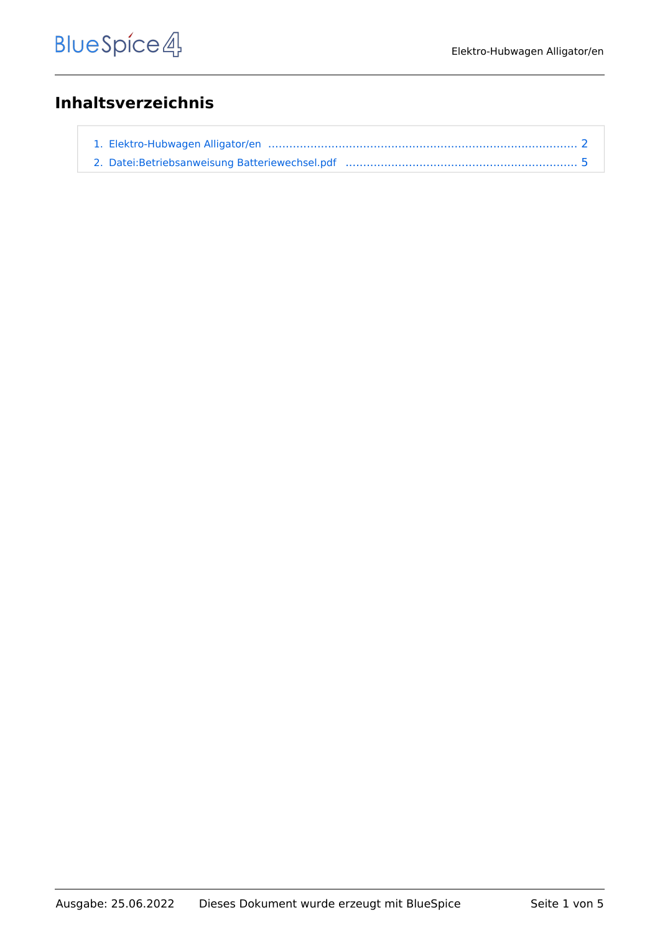# **Inhaltsverzeichnis**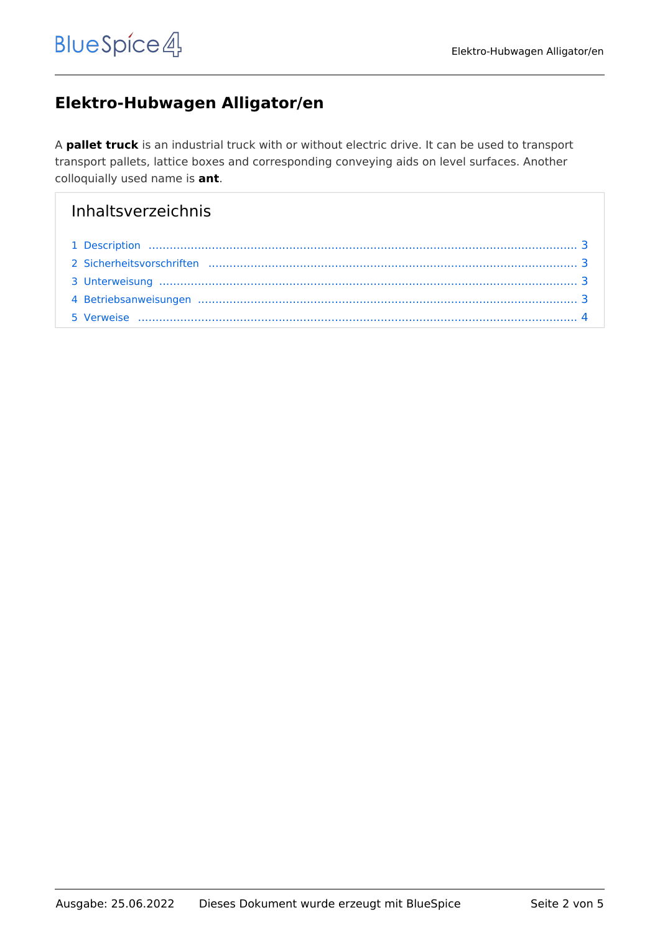# <span id="page-1-0"></span>**Elektro-Hubwagen Alligator/en**

A **pallet truck** is an industrial truck with or without electric drive. It can be used to transport transport pallets, lattice boxes and corresponding conveying aids on level surfaces. Another colloquially used name is **ant**.

# Inhaltsverzeichnis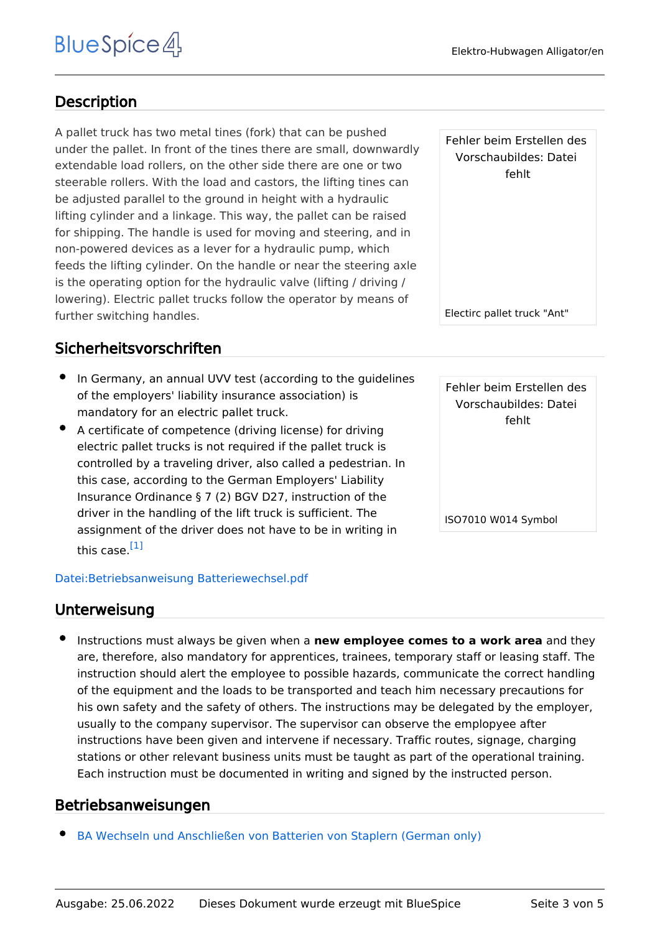## <span id="page-2-0"></span>**Description**

A pallet truck has two metal tines (fork) that can be pushed under the pallet. In front of the tines there are small, downwardly extendable load rollers, on the other side there are one or two steerable rollers. With the load and castors, the lifting tines can be adjusted parallel to the ground in height with a hydraulic lifting cylinder and a linkage. This way, the pallet can be raised for shipping. The handle is used for moving and steering, and in non-powered devices as a lever for a hydraulic pump, which feeds the lifting cylinder. On the handle or near the steering axle is the operating option for the hydraulic valve (lifting / driving / lowering). Electric pallet trucks follow the operator by means of further switching handles.

### <span id="page-2-1"></span>Sicherheitsvorschriften

- In Germany, an annual UVV test (according to the guidelines of the employers' liability insurance association) is mandatory for an electric pallet truck.
- A certificate of competence (driving license) for driving electric pallet trucks is not required if the pallet truck is controlled by a traveling driver, also called a pedestrian. In this case, according to the German Employers' Liability Insurance Ordinance § 7 (2) BGV D27, instruction of the driver in the handling of the lift truck is sufficient. The assignment of the driver does not have to be in writing in this case.[\[1\]](#page-3-1)

#### <span id="page-2-4"></span>[Datei:Betriebsanweisung Batteriewechsel.pdf](#page-4-0)

#### <span id="page-2-2"></span>Unterweisung

Instructions must always be given when a **new employee comes to a work area** and they are, therefore, also mandatory for apprentices, trainees, temporary staff or leasing staff. The instruction should alert the employee to possible hazards, communicate the correct handling of the equipment and the loads to be transported and teach him necessary precautions for his own safety and the safety of others. The instructions may be delegated by the employer, usually to the company supervisor. The supervisor can observe the emplopyee after instructions have been given and intervene if necessary. Traffic routes, signage, charging stations or other relevant business units must be taught as part of the operational training. Each instruction must be documented in writing and signed by the instructed person.

### <span id="page-2-3"></span>Betriebsanweisungen

[BA Wechseln und Anschließen von Batterien von Staplern \(German only\)](#page-4-0)

Fehler beim Erstellen des Vorschaubildes: Datei fehlt

Electirc pallet truck "Ant"

Fehler beim Erstellen des Vorschaubildes: Datei fehlt

ISO7010 W014 Symbol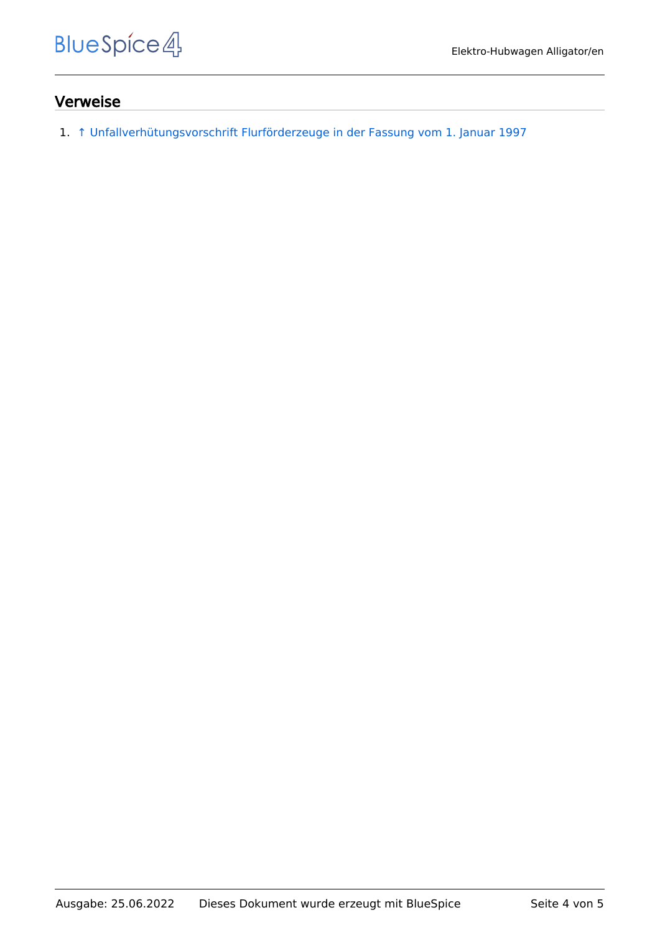#### <span id="page-3-0"></span>Verweise

<span id="page-3-1"></span>1. [↑](#page-2-4) [Unfallverhütungsvorschrift Flurförderzeuge in der Fassung vom 1. Januar 1997](https://publikationen.dguv.de/dguv/pdf/10002/vorschrift68.pdf)